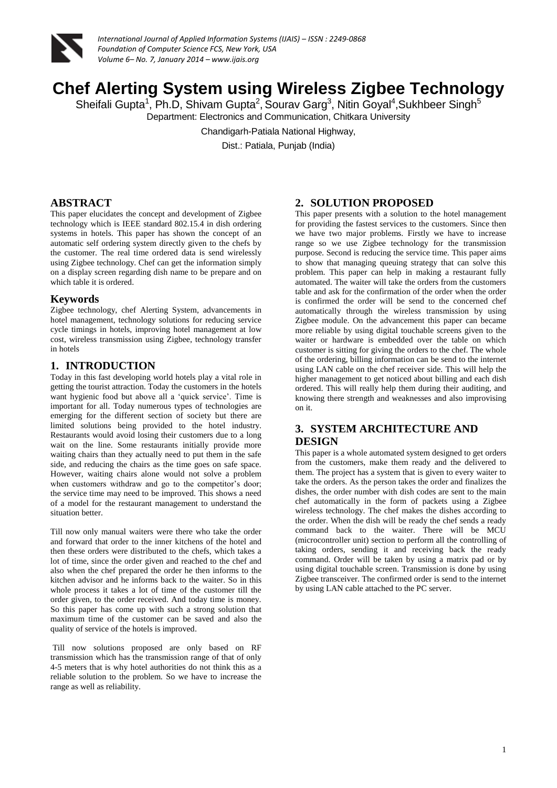

# **Chef Alerting System using Wireless Zigbee Technology**

Sheifali Gupta<sup>1</sup>, Ph.D, Shivam Gupta<sup>2</sup>, Sourav Garg<sup>3</sup>, Nitin Goyal<sup>4</sup>, Sukhbeer Singh<sup>5</sup> Department: Electronics and Communication, Chitkara University

Chandigarh-Patiala National Highway,

Dist.: Patiala, Punjab (India)

# **ABSTRACT**

This paper elucidates the concept and development of Zigbee technology which is IEEE standard 802.15.4 in dish ordering systems in hotels. This paper has shown the concept of an automatic self ordering system directly given to the chefs by the customer. The real time ordered data is send wirelessly using Zigbee technology. Chef can get the information simply on a display screen regarding dish name to be prepare and on which table it is ordered.

### **Keywords**

Zigbee technology, chef Alerting System, advancements in hotel management, technology solutions for reducing service cycle timings in hotels, improving hotel management at low cost, wireless transmission using Zigbee, technology transfer in hotels

## **1. INTRODUCTION**

Today in this fast developing world hotels play a vital role in getting the tourist attraction. Today the customers in the hotels want hygienic food but above all a 'quick service'. Time is important for all. Today numerous types of technologies are emerging for the different section of society but there are limited solutions being provided to the hotel industry. Restaurants would avoid losing their customers due to a long wait on the line. Some restaurants initially provide more waiting chairs than they actually need to put them in the safe side, and reducing the chairs as the time goes on safe space. However, waiting chairs alone would not solve a problem when customers withdraw and go to the competitor's door; the service time may need to be improved. This shows a need of a model for the restaurant management to understand the situation better.

Till now only manual waiters were there who take the order and forward that order to the inner kitchens of the hotel and then these orders were distributed to the chefs, which takes a lot of time, since the order given and reached to the chef and also when the chef prepared the order he then informs to the kitchen advisor and he informs back to the waiter. So in this whole process it takes a lot of time of the customer till the order given, to the order received. And today time is money. So this paper has come up with such a strong solution that maximum time of the customer can be saved and also the quality of service of the hotels is improved.

Till now solutions proposed are only based on RF transmission which has the transmission range of that of only 4-5 meters that is why hotel authorities do not think this as a reliable solution to the problem. So we have to increase the range as well as reliability.

# **2. SOLUTION PROPOSED**

This paper presents with a solution to the hotel management for providing the fastest services to the customers. Since then we have two major problems. Firstly we have to increase range so we use Zigbee technology for the transmission purpose. Second is reducing the service time. This paper aims to show that managing queuing strategy that can solve this problem. This paper can help in making a restaurant fully automated. The waiter will take the orders from the customers table and ask for the confirmation of the order when the order is confirmed the order will be send to the concerned chef automatically through the wireless transmission by using Zigbee module. On the advancement this paper can became more reliable by using digital touchable screens given to the waiter or hardware is embedded over the table on which customer is sitting for giving the orders to the chef. The whole of the ordering, billing information can be send to the internet using LAN cable on the chef receiver side. This will help the higher management to get noticed about billing and each dish ordered. This will really help them during their auditing, and knowing there strength and weaknesses and also improvising on it.

# **3. SYSTEM ARCHITECTURE AND DESIGN**

This paper is a whole automated system designed to get orders from the customers, make them ready and the delivered to them. The project has a system that is given to every waiter to take the orders. As the person takes the order and finalizes the dishes, the order number with dish codes are sent to the main chef automatically in the form of packets using a Zigbee wireless technology. The chef makes the dishes according to the order. When the dish will be ready the chef sends a ready command back to the waiter. There will be MCU (microcontroller unit) section to perform all the controlling of taking orders, sending it and receiving back the ready command. Order will be taken by using a matrix pad or by using digital touchable screen. Transmission is done by using Zigbee transceiver. The confirmed order is send to the internet by using LAN cable attached to the PC server.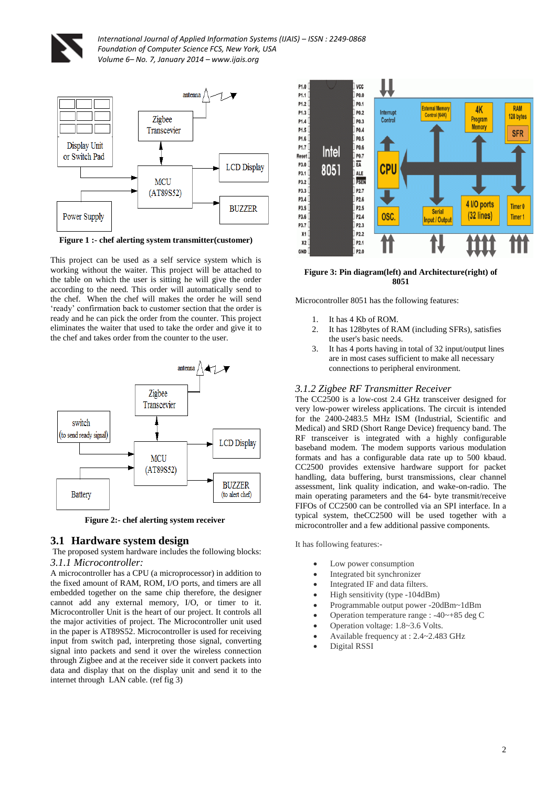



**Figure 1 :- chef alerting system transmitter(customer)**

This project can be used as a self service system which is working without the waiter. This project will be attached to the table on which the user is sitting he will give the order according to the need. This order will automatically send to the chef.When the chef will makes the order he will send 'ready' confirmation back to customer section that the order is ready and he can pick the order from the counter. This project eliminates the waiter that used to take the order and give it to the chef and takes order from the counter to the user.



 **Figure 2:- chef alerting system receiver**

### **3.1 Hardware system design**

The proposed system hardware includes the following blocks:

*3.1.1 Microcontroller:* 

A microcontroller has a CPU (a microprocessor) in addition to the fixed amount of RAM, ROM, I/O ports, and timers are all embedded together on the same chip therefore, the designer cannot add any external memory, I/O, or timer to it. Microcontroller Unit is the heart of our project. It controls all the major activities of project. The Microcontroller unit used in the paper is AT89S52. Microcontroller is used for receiving input from switch pad, interpreting those signal, converting signal into packets and send it over the wireless connection through Zigbee and at the receiver side it convert packets into data and display that on the display unit and send it to the internet through LAN cable. (ref fig 3)



#### **Figure 3: Pin diagram(left) and Architecture(right) of 8051**

Microcontroller 8051 has the following features:

- 1. It has 4 Kb of ROM.
- 2. It has 128bytes of RAM (including SFRs), satisfies the user's basic needs.
- 3. It has 4 ports having in total of 32 input/output lines are in most cases sufficient to make all necessary connections to peripheral environment.

### *3.1.2 Zigbee RF Transmitter Receiver*

The CC2500 is a low-cost 2.4 GHz transceiver designed for very low-power wireless applications. The circuit is intended for the 2400-2483.5 MHz ISM (Industrial, Scientific and Medical) and SRD (Short Range Device) frequency band. The RF transceiver is integrated with a highly configurable baseband modem. The modem supports various modulation formats and has a configurable data rate up to 500 kbaud. CC2500 provides extensive hardware support for packet handling, data buffering, burst transmissions, clear channel assessment, link quality indication, and wake-on-radio. The main operating parameters and the 64- byte transmit/receive FIFOs of CC2500 can be controlled via an SPI interface. In a typical system, theCC2500 will be used together with a microcontroller and a few additional passive components.

It has following features:-

- Low power consumption
- Integrated bit synchronizer
- Integrated IF and data filters.
- High sensitivity (type -104dBm)
- Programmable output power -20dBm~1dBm
- Operation temperature range : -40~+85 deg C
- Operation voltage: 1.8~3.6 Volts.
- Available frequency at : 2.4~2.483 GHz
	- Digital RSSI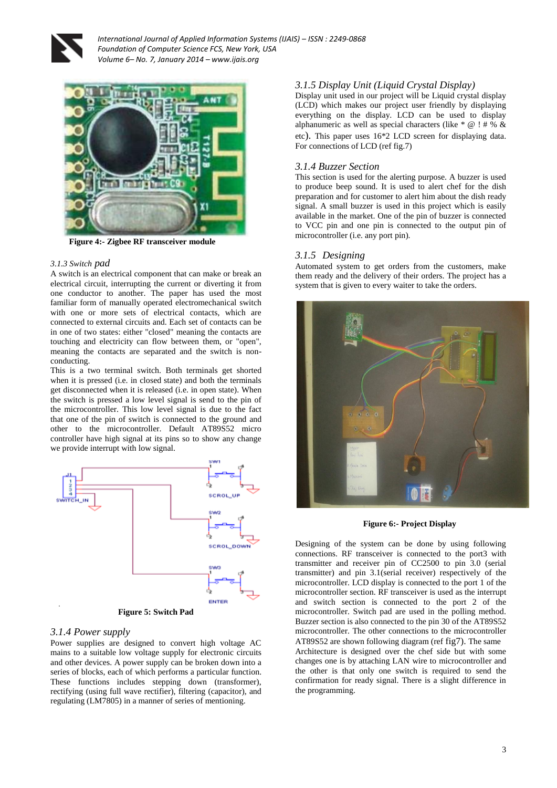



**Figure 4:- Zigbee RF transceiver module**

#### *3.1.3 Switch pad*

A switch is an electrical component that can make or break an electrical circuit, interrupting the current or diverting it from one conductor to another. The paper has used the most familiar form of manually operated electromechanical switch with one or more sets of electrical contacts, which are connected to external circuits and. Each set of contacts can be in one of two states: either "closed" meaning the contacts are touching and electricity can flow between them, or "open", meaning the contacts are separated and the switch is nonconducting.

This is a two terminal switch. Both terminals get shorted when it is pressed (i.e. in closed state) and both the terminals get disconnected when it is released (i.e. in open state). When the switch is pressed a low level signal is send to the pin of the microcontroller. This low level signal is due to the fact that one of the pin of switch is connected to the ground and other to the microcontroller. Default AT89S52 micro controller have high signal at its pins so to show any change we provide interrupt with low signal.



**Figure 5: Switch Pad**

#### *3.1.4 Power supply*

Power supplies are designed to convert high voltage AC mains to a suitable low voltage supply for electronic circuits and other devices. A power supply can be broken down into a series of blocks, each of which performs a particular function. These functions includes stepping down (transformer), rectifying (using full wave rectifier), filtering (capacitor), and regulating (LM7805) in a manner of series of mentioning.

#### *3.1.5 Display Unit (Liquid Crystal Display)*

Display unit used in our project will be Liquid crystal display (LCD) which makes our project user friendly by displaying everything on the display. LCD can be used to display alphanumeric as well as special characters (like  $* \omega$ ! # % & etc). This paper uses 16\*2 LCD screen for displaying data. For connections of LCD (ref fig.7)

#### *3.1.4 Buzzer Section*

This section is used for the alerting purpose. A buzzer is used to produce beep sound. It is used to alert chef for the dish preparation and for customer to alert him about the dish ready signal. A small buzzer is used in this project which is easily available in the market. One of the pin of buzzer is connected to VCC pin and one pin is connected to the output pin of microcontroller (i.e. any port pin).

#### *3.1.5 Designing*

Automated system to get orders from the customers, make them ready and the delivery of their orders. The project has a system that is given to every waiter to take the orders.



#### **Figure 6:- Project Display**

Designing of the system can be done by using following connections. RF transceiver is connected to the port3 with transmitter and receiver pin of CC2500 to pin 3.0 (serial transmitter) and pin 3.1(serial receiver) respectively of the microcontroller. LCD display is connected to the port 1 of the microcontroller section. RF transceiver is used as the interrupt and switch section is connected to the port 2 of the microcontroller. Switch pad are used in the polling method. Buzzer section is also connected to the pin 30 of the AT89S52 microcontroller. The other connections to the microcontroller AT89S52 are shown following diagram (ref fig7). The same Architecture is designed over the chef side but with some changes one is by attaching LAN wire to microcontroller and the other is that only one switch is required to send the confirmation for ready signal. There is a slight difference in the programming.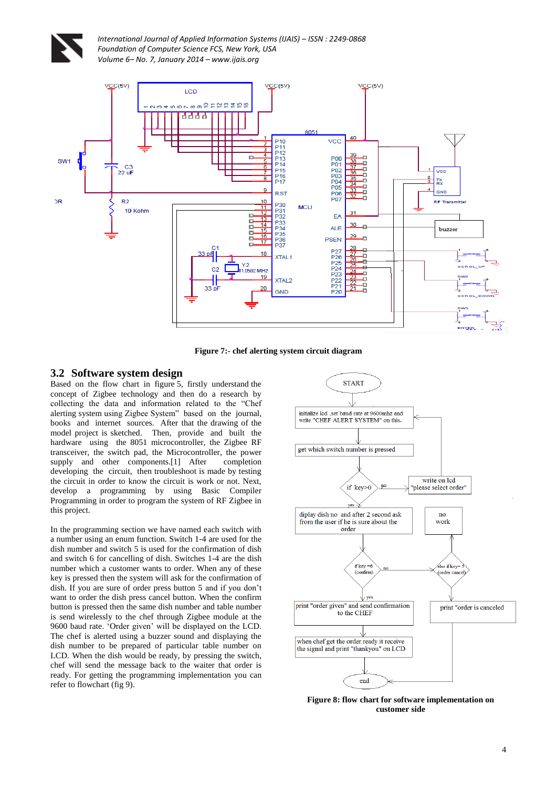



**Figure 7:- chef alerting system circuit diagram**

### **3.2 Software system design**

Based on the flow chart in figure 5, firstly understand the concept of Zigbee technology and then do a research by collecting the data and information related to the "Chef alerting system using Zigbee System" based on the journal, books and internet sources. After that the drawing of the model project is sketched. Then, provide and built the hardware using the 8051 microcontroller, the Zigbee RF transceiver, the switch pad, the Microcontroller, the power supply and other components.<sup>[1]</sup> After completion developing the circuit, then troubleshoot is made by testing the circuit in order to know the circuit is work or not. Next, develop a programming by using Basic Compiler Programming in order to program the system of RF Zigbee in this project.

In the programming section we have named each switch with a number using an enum function. Switch 1-4 are used for the dish number and switch 5 is used for the confirmation of dish and switch 6 for cancelling of dish. Switches 1-4 are the dish number which a customer wants to order. When any of these key is pressed then the system will ask for the confirmation of dish. If you are sure of order press button 5 and if you don't want to order the dish press cancel button. When the confirm button is pressed then the same dish number and table number is send wirelessly to the chef through Zigbee module at the 9600 baud rate. 'Order given' will be displayed on the LCD. The chef is alerted using a buzzer sound and displaying the dish number to be prepared of particular table number on LCD. When the dish would be ready, by pressing the switch, chef will send the message back to the waiter that order is ready. For getting the programming implementation you can refer to flowchart (fig 9).



**Figure 8: flow chart for software implementation on customer side**